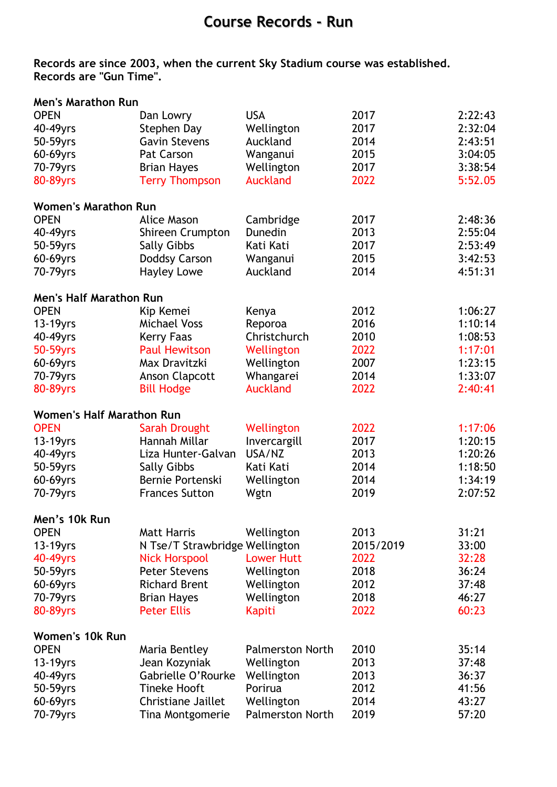## **Course Records - Run**

## **Records are since 2003, when the current Sky Stadium course was established. Records are "Gun Time".**

| <b>Men's Marathon Run</b>        |                                |                         |           |         |
|----------------------------------|--------------------------------|-------------------------|-----------|---------|
| <b>OPEN</b>                      | Dan Lowry                      | <b>USA</b>              | 2017      | 2:22:43 |
| 40-49yrs                         | Stephen Day                    | Wellington              | 2017      | 2:32:04 |
| 50-59yrs                         | <b>Gavin Stevens</b>           | Auckland                | 2014      | 2:43:51 |
| 60-69yrs                         | Pat Carson                     | Wanganui                | 2015      | 3:04:05 |
| 70-79yrs                         | <b>Brian Hayes</b>             | Wellington              | 2017      | 3:38:54 |
| 80-89yrs                         | <b>Terry Thompson</b>          | <b>Auckland</b>         | 2022      | 5:52.05 |
| <b>Women's Marathon Run</b>      |                                |                         |           |         |
| <b>OPEN</b>                      | <b>Alice Mason</b>             | Cambridge               | 2017      | 2:48:36 |
| 40-49yrs                         | Shireen Crumpton               | Dunedin                 | 2013      | 2:55:04 |
| 50-59yrs                         | <b>Sally Gibbs</b>             | Kati Kati               | 2017      | 2:53:49 |
| 60-69yrs                         | Doddsy Carson                  | Wanganui                | 2015      | 3:42:53 |
| 70-79yrs                         | <b>Hayley Lowe</b>             | Auckland                | 2014      | 4:51:31 |
| <b>Men's Half Marathon Run</b>   |                                |                         |           |         |
| <b>OPEN</b>                      | Kip Kemei                      | Kenya                   | 2012      | 1:06:27 |
| 13-19yrs                         | <b>Michael Voss</b>            | Reporoa                 | 2016      | 1:10:14 |
| 40-49yrs                         | <b>Kerry Faas</b>              | Christchurch            | 2010      | 1:08:53 |
| 50-59yrs                         | <b>Paul Hewitson</b>           | Wellington              | 2022      | 1:17:01 |
| 60-69yrs                         | Max Dravitzki                  | Wellington              | 2007      | 1:23:15 |
| 70-79yrs                         | <b>Anson Clapcott</b>          | Whangarei               | 2014      | 1:33:07 |
| 80-89yrs                         | <b>Bill Hodge</b>              | <b>Auckland</b>         | 2022      | 2:40:41 |
| <b>Women's Half Marathon Run</b> |                                |                         |           |         |
| <b>OPEN</b>                      | <b>Sarah Drought</b>           | Wellington              | 2022      | 1:17:06 |
| 13-19yrs                         | Hannah Millar                  | Invercargill            | 2017      | 1:20:15 |
| 40-49yrs                         | Liza Hunter-Galvan             | USA/NZ                  | 2013      | 1:20:26 |
| 50-59yrs                         | <b>Sally Gibbs</b>             | Kati Kati               | 2014      | 1:18:50 |
| 60-69yrs                         | Bernie Portenski               | Wellington              | 2014      | 1:34:19 |
| 70-79yrs                         | <b>Frances Sutton</b>          | Wgtn                    | 2019      | 2:07:52 |
| Men's 10k Run                    |                                |                         |           |         |
| <b>OPEN</b>                      | <b>Matt Harris</b>             | Wellington              | 2013      | 31:21   |
| $13-19$ yrs                      | N Tse/T Strawbridge Wellington |                         | 2015/2019 | 33:00   |
| 40-49yrs                         | <b>Nick Horspool</b>           | <b>Lower Hutt</b>       | 2022      | 32:28   |
| 50-59yrs                         | <b>Peter Stevens</b>           | Wellington              | 2018      | 36:24   |
| 60-69yrs                         | <b>Richard Brent</b>           | Wellington              | 2012      | 37:48   |
| 70-79yrs                         | <b>Brian Hayes</b>             | Wellington              | 2018      | 46:27   |
| 80-89yrs                         | <b>Peter Ellis</b>             | <b>Kapiti</b>           | 2022      | 60:23   |
| <b>Women's 10k Run</b>           |                                |                         |           |         |
| <b>OPEN</b>                      | Maria Bentley                  | <b>Palmerston North</b> | 2010      | 35:14   |
| $13-19$ yrs                      | Jean Kozyniak                  | Wellington              | 2013      | 37:48   |
| 40-49yrs                         | Gabrielle O'Rourke             | Wellington              | 2013      | 36:37   |
| 50-59yrs                         | <b>Tineke Hooft</b>            | Porirua                 | 2012      | 41:56   |
| 60-69yrs                         | Christiane Jaillet             | Wellington              | 2014      | 43:27   |
| 70-79yrs                         | Tina Montgomerie               | <b>Palmerston North</b> | 2019      | 57:20   |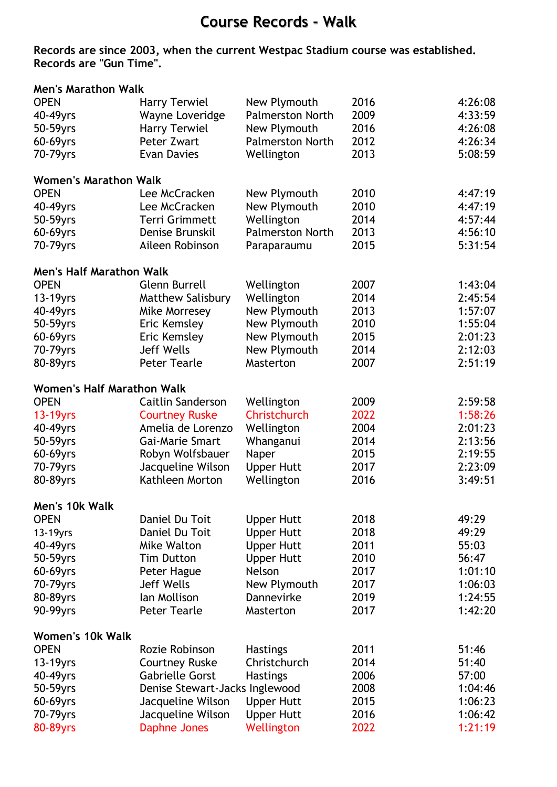## **Course Records - Walk**

**Records are since 2003, when the current Westpac Stadium course was established. Records are "Gun Time".** 

| <b>Men's Marathon Walk</b>        |                                |                         |      |         |
|-----------------------------------|--------------------------------|-------------------------|------|---------|
| <b>OPEN</b>                       | <b>Harry Terwiel</b>           | New Plymouth            | 2016 | 4:26:08 |
| 40-49yrs                          | Wayne Loveridge                | <b>Palmerston North</b> | 2009 | 4:33:59 |
| 50-59yrs                          | Harry Terwiel                  | New Plymouth            | 2016 | 4:26:08 |
| 60-69yrs                          | Peter Zwart                    | <b>Palmerston North</b> | 2012 | 4:26:34 |
| 70-79yrs                          | <b>Evan Davies</b>             | Wellington              | 2013 | 5:08:59 |
| <b>Women's Marathon Walk</b>      |                                |                         |      |         |
| <b>OPEN</b>                       | Lee McCracken                  | New Plymouth            | 2010 | 4:47:19 |
| 40-49yrs                          | Lee McCracken                  | New Plymouth            | 2010 | 4:47:19 |
| 50-59yrs                          | <b>Terri Grimmett</b>          | Wellington              | 2014 | 4:57:44 |
| 60-69yrs                          | Denise Brunskil                | <b>Palmerston North</b> | 2013 | 4:56:10 |
| 70-79yrs                          | Aileen Robinson                | Paraparaumu             | 2015 | 5:31:54 |
| <b>Men's Half Marathon Walk</b>   |                                |                         |      |         |
| <b>OPEN</b>                       | <b>Glenn Burrell</b>           | Wellington              | 2007 | 1:43:04 |
| 13-19yrs                          | <b>Matthew Salisbury</b>       | Wellington              | 2014 | 2:45:54 |
| 40-49yrs                          | Mike Morresey                  | New Plymouth            | 2013 | 1:57:07 |
| 50-59yrs                          | Eric Kemsley                   | New Plymouth            | 2010 | 1:55:04 |
| 60-69yrs                          | Eric Kemsley                   | New Plymouth            | 2015 | 2:01:23 |
| 70-79yrs                          | Jeff Wells                     | New Plymouth            | 2014 | 2:12:03 |
| 80-89yrs                          | <b>Peter Tearle</b>            | Masterton               | 2007 | 2:51:19 |
| <b>Women's Half Marathon Walk</b> |                                |                         |      |         |
| <b>OPEN</b>                       | <b>Caitlin Sanderson</b>       | Wellington              | 2009 | 2:59:58 |
| 13-19yrs                          | <b>Courtney Ruske</b>          | Christchurch            | 2022 | 1:58:26 |
| 40-49yrs                          | Amelia de Lorenzo              | Wellington              | 2004 | 2:01:23 |
| 50-59yrs                          | Gai-Marie Smart                | Whanganui               | 2014 | 2:13:56 |
| 60-69yrs                          | Robyn Wolfsbauer               | Naper                   | 2015 | 2:19:55 |
| 70-79yrs                          | Jacqueline Wilson              | <b>Upper Hutt</b>       | 2017 | 2:23:09 |
| 80-89yrs                          | Kathleen Morton                | Wellington              | 2016 | 3:49:51 |
| Men's 10k Walk                    |                                |                         |      |         |
| <b>OPEN</b>                       | Daniel Du Toit                 | <b>Upper Hutt</b>       | 2018 | 49:29   |
| 13-19yrs                          | Daniel Du Toit                 | <b>Upper Hutt</b>       | 2018 | 49:29   |
| 40-49yrs                          | Mike Walton                    | <b>Upper Hutt</b>       | 2011 | 55:03   |
| 50-59yrs                          | <b>Tim Dutton</b>              | <b>Upper Hutt</b>       | 2010 | 56:47   |
| 60-69yrs                          | Peter Hague                    | Nelson                  | 2017 | 1:01:10 |
| 70-79yrs                          | <b>Jeff Wells</b>              | New Plymouth            | 2017 | 1:06:03 |
| 80-89yrs                          | Ian Mollison                   | Dannevirke              | 2019 | 1:24:55 |
| 90-99yrs                          | <b>Peter Tearle</b>            | Masterton               | 2017 | 1:42:20 |
| Women's 10k Walk                  |                                |                         |      |         |
| <b>OPEN</b>                       | Rozie Robinson                 | <b>Hastings</b>         | 2011 | 51:46   |
| $13-19$ yrs                       | <b>Courtney Ruske</b>          | Christchurch            | 2014 | 51:40   |
| 40-49yrs                          | <b>Gabrielle Gorst</b>         | <b>Hastings</b>         | 2006 | 57:00   |
| 50-59yrs                          | Denise Stewart-Jacks Inglewood |                         | 2008 | 1:04:46 |
| 60-69yrs                          | Jacqueline Wilson              | <b>Upper Hutt</b>       | 2015 | 1:06:23 |
| 70-79yrs                          | Jacqueline Wilson              | <b>Upper Hutt</b>       | 2016 | 1:06:42 |
| 80-89yrs                          | <b>Daphne Jones</b>            | Wellington              | 2022 | 1:21:19 |